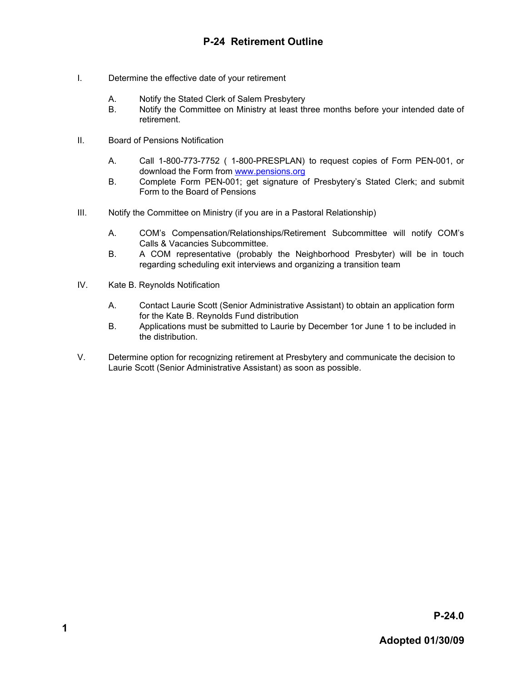- I. Determine the effective date of your retirement
	- A. Notify the Stated Clerk of Salem Presbytery
	- B. Notify the Committee on Ministry at least three months before your intended date of retirement.
- II. Board of Pensions Notification
	- A. Call 1-800-773-7752 ( 1-800-PRESPLAN) to request copies of Form PEN-001, or download the Form from [www.pensions.org](http://www.pensions.org/)
	- B. Complete Form PEN-001; get signature of Presbytery's Stated Clerk; and submit Form to the Board of Pensions
- III. Notify the Committee on Ministry (if you are in a Pastoral Relationship)
	- A. COM's Compensation/Relationships/Retirement Subcommittee will notify COM's Calls & Vacancies Subcommittee.
	- B. A COM representative (probably the Neighborhood Presbyter) will be in touch regarding scheduling exit interviews and organizing a transition team
- IV. Kate B. Reynolds Notification
	- A. Contact Laurie Scott (Senior Administrative Assistant) to obtain an application form for the Kate B. Reynolds Fund distribution
	- B. Applications must be submitted to Laurie by December 1or June 1 to be included in the distribution.
- V. Determine option for recognizing retirement at Presbytery and communicate the decision to Laurie Scott (Senior Administrative Assistant) as soon as possible.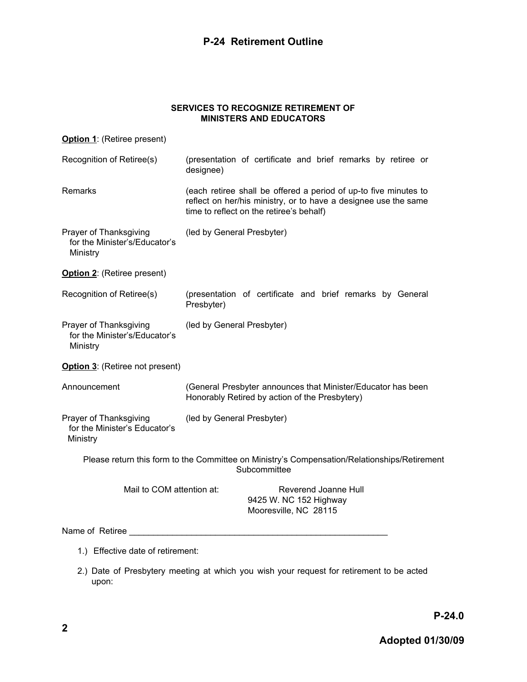## **P-24 Retirement Outline**

## **SERVICES TO RECOGNIZE RETIREMENT OF MINISTERS AND EDUCATORS**

| Option 1: (Retiree present)                                         |                                                                                                                                                                                 |
|---------------------------------------------------------------------|---------------------------------------------------------------------------------------------------------------------------------------------------------------------------------|
| Recognition of Retiree(s)                                           | (presentation of certificate and brief remarks by retiree or<br>designee)                                                                                                       |
| Remarks                                                             | (each retiree shall be offered a period of up-to five minutes to<br>reflect on her/his ministry, or to have a designee use the same<br>time to reflect on the retiree's behalf) |
| Prayer of Thanksgiving<br>for the Minister's/Educator's<br>Ministry | (led by General Presbyter)                                                                                                                                                      |
| Option 2: (Retiree present)                                         |                                                                                                                                                                                 |
| Recognition of Retiree(s)                                           | (presentation of certificate and brief remarks by General<br>Presbyter)                                                                                                         |
| Prayer of Thanksgiving<br>for the Minister's/Educator's<br>Ministry | (led by General Presbyter)                                                                                                                                                      |
| Option 3: (Retiree not present)                                     |                                                                                                                                                                                 |
| Announcement                                                        | (General Presbyter announces that Minister/Educator has been<br>Honorably Retired by action of the Presbytery)                                                                  |
| Prayer of Thanksgiving<br>for the Minister's Educator's<br>Ministry | (led by General Presbyter)                                                                                                                                                      |
|                                                                     | Please return this form to the Committee on Ministry's Compensation/Relationships/Retirement<br>Subcommittee                                                                    |
| Mail to COM attention at:                                           | Reverend Joanne Hull<br>9425 W. NC 152 Highway<br>Mooresville, NC 28115                                                                                                         |
| Name of Retiree                                                     |                                                                                                                                                                                 |

- 1.) Effective date of retirement:
- 2.) Date of Presbytery meeting at which you wish your request for retirement to be acted upon: